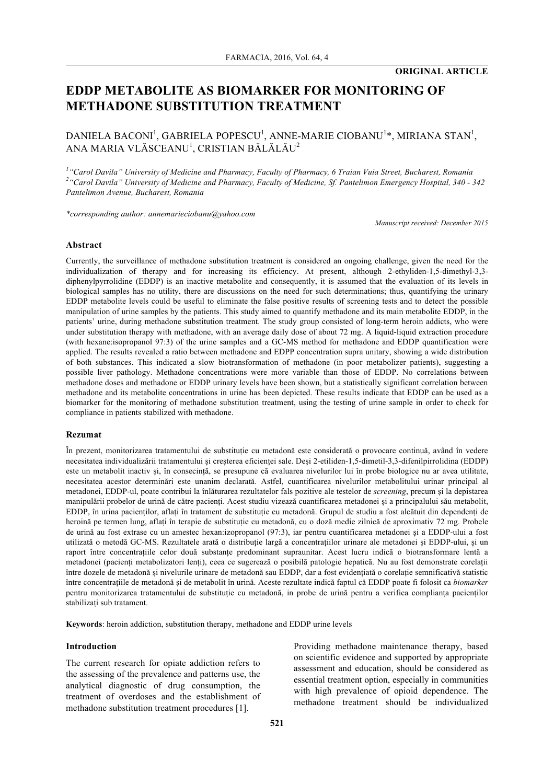# **EDDP METABOLITE AS BIOMARKER FOR MONITORING OF METHADONE SUBSTITUTION TREATMENT**

DANIELA BACONI<sup>1</sup>, GABRIELA POPESCU<sup>1</sup>, ANNE-MARIE CIOBANU<sup>1</sup>\*, MIRIANA STAN<sup>1</sup>, ANA MARIA VLĂSCEANU<sup>1</sup>, CRISTIAN BĂLĂLĂU $^2$ 

*1 "Carol Davila" University of Medicine and Pharmacy, Faculty of Pharmacy, 6 Traian Vuia Street, Bucharest, Romania 2 "Carol Davila" University of Medicine and Pharmacy, Faculty of Medicine, Sf. Pantelimon Emergency Hospital, 340 - 342 Pantelimon Avenue, Bucharest, Romania*

*\*corresponding author: annemarieciobanu@yahoo.com*

*Manuscript received: December 2015*

#### **Abstract**

Currently, the surveillance of methadone substitution treatment is considered an ongoing challenge, given the need for the individualization of therapy and for increasing its efficiency. At present, although 2-ethyliden-1,5-dimethyl-3,3 diphenylpyrrolidine (EDDP) is an inactive metabolite and consequently, it is assumed that the evaluation of its levels in biological samples has no utility, there are discussions on the need for such determinations; thus, quantifying the urinary EDDP metabolite levels could be useful to eliminate the false positive results of screening tests and to detect the possible manipulation of urine samples by the patients. This study aimed to quantify methadone and its main metabolite EDDP, in the patients' urine, during methadone substitution treatment. The study group consisted of long-term heroin addicts, who were under substitution therapy with methadone, with an average daily dose of about 72 mg. A liquid-liquid extraction procedure (with hexane:isopropanol 97:3) of the urine samples and a GC-MS method for methadone and EDDP quantification were applied. The results revealed a ratio between methadone and EDPP concentration supra unitary, showing a wide distribution of both substances. This indicated a slow biotransformation of methadone (in poor metabolizer patients), suggesting a possible liver pathology. Methadone concentrations were more variable than those of EDDP. No correlations between methadone doses and methadone or EDDP urinary levels have been shown, but a statistically significant correlation between methadone and its metabolite concentrations in urine has been depicted. These results indicate that EDDP can be used as a biomarker for the monitoring of methadone substitution treatment, using the testing of urine sample in order to check for compliance in patients stabilized with methadone.

#### **Rezumat**

În prezent, monitorizarea tratamentului de substituție cu metadonă este considerată o provocare continuă, având în vedere necesitatea individualizării tratamentului și creșterea eficienței sale. Deși 2-etiliden-1,5-dimetil-3,3-difenilpirrolidina (EDDP) este un metabolit inactiv și, în consecință, se presupune că evaluarea nivelurilor lui în probe biologice nu ar avea utilitate, necesitatea acestor determinări este unanim declarată. Astfel, cuantificarea nivelurilor metabolitului urinar principal al metadonei, EDDP-ul, poate contribui la înlăturarea rezultatelor fals pozitive ale testelor de *screening*, precum și la depistarea manipulării probelor de urină de către pacienți. Acest studiu vizează cuantificarea metadonei și a principalului său metabolit, EDDP, în urina pacienților, aflați în tratament de substituție cu metadonă. Grupul de studiu a fost alcătuit din dependenți de heroină pe termen lung, aflați în terapie de substituție cu metadonă, cu o doză medie zilnică de aproximativ 72 mg. Probele de urină au fost extrase cu un amestec hexan:izopropanol (97:3), iar pentru cuantificarea metadonei și a EDDP-ului a fost utilizată o metodă GC-MS. Rezultatele arată o distribuție largă a concentrațiilor urinare ale metadonei și EDDP-ului, și un raport între concentrațiile celor două substanțe predominant supraunitar. Acest lucru indică o biotransformare lentă a metadonei (pacienți metabolizatori lenți), ceea ce sugerează o posibilă patologie hepatică. Nu au fost demonstrate corelații între dozele de metadonă și nivelurile urinare de metadonă sau EDDP, dar a fost evidențiată o corelație semnificativă statistic între concentrațiile de metadonă și de metabolit în urină. Aceste rezultate indică faptul că EDDP poate fi folosit ca *biomarker* pentru monitorizarea tratamentului de substituție cu metadonă, in probe de urină pentru a verifica complianța pacienților stabilizați sub tratament.

**Keywords**: heroin addiction, substitution therapy, methadone and EDDP urine levels

### **Introduction**

The current research for opiate addiction refers to the assessing of the prevalence and patterns use, the analytical diagnostic of drug consumption, the treatment of overdoses and the establishment of methadone substitution treatment procedures [1].

Providing methadone maintenance therapy, based on scientific evidence and supported by appropriate assessment and education, should be considered as essential treatment option, especially in communities with high prevalence of opioid dependence. The methadone treatment should be individualized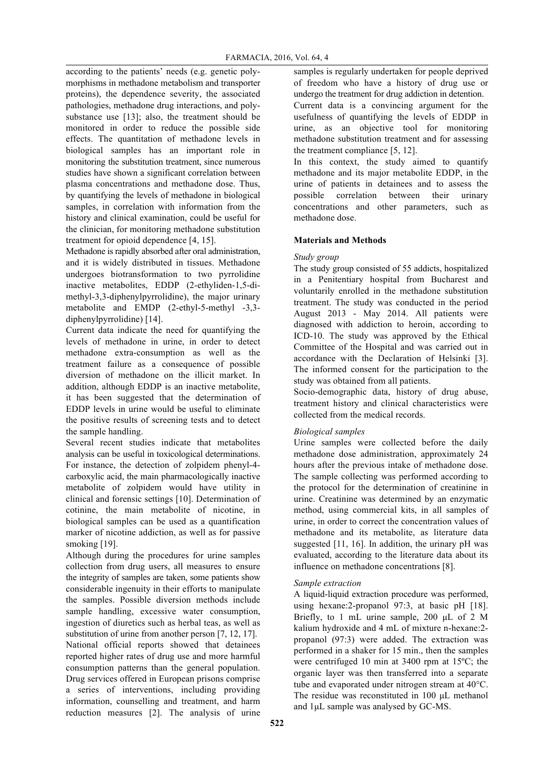according to the patients' needs (e.g. genetic polymorphisms in methadone metabolism and transporter proteins), the dependence severity, the associated pathologies, methadone drug interactions, and polysubstance use [13]; also, the treatment should be monitored in order to reduce the possible side effects. The quantitation of methadone levels in biological samples has an important role in monitoring the substitution treatment, since numerous studies have shown a significant correlation between plasma concentrations and methadone dose. Thus, by quantifying the levels of methadone in biological samples, in correlation with information from the history and clinical examination, could be useful for the clinician, for monitoring methadone substitution treatment for opioid dependence [4, 15].

Methadone is rapidly absorbed after oral administration, and it is widely distributed in tissues. Methadone undergoes biotransformation to two pyrrolidine inactive metabolites, EDDP (2-ethyliden-1,5-dimethyl-3,3-diphenylpyrrolidine), the major urinary metabolite and EMDP (2-ethyl-5-methyl -3,3 diphenylpyrrolidine) [14].

Current data indicate the need for quantifying the levels of methadone in urine, in order to detect methadone extra-consumption as well as the treatment failure as a consequence of possible diversion of methadone on the illicit market. In addition, although EDDP is an inactive metabolite, it has been suggested that the determination of EDDP levels in urine would be useful to eliminate the positive results of screening tests and to detect the sample handling.

Several recent studies indicate that metabolites analysis can be useful in toxicological determinations. For instance, the detection of zolpidem phenyl-4 carboxylic acid, the main pharmacologically inactive metabolite of zolpidem would have utility in clinical and forensic settings [10]. Determination of cotinine, the main metabolite of nicotine, in biological samples can be used as a quantification marker of nicotine addiction, as well as for passive smoking [19].

Although during the procedures for urine samples collection from drug users, all measures to ensure the integrity of samples are taken, some patients show considerable ingenuity in their efforts to manipulate the samples. Possible diversion methods include sample handling, excessive water consumption, ingestion of diuretics such as herbal teas, as well as substitution of urine from another person [7, 12, 17]. National official reports showed that detainees reported higher rates of drug use and more harmful consumption patterns than the general population. Drug services offered in European prisons comprise a series of interventions, including providing information, counselling and treatment, and harm reduction measures [2]. The analysis of urine samples is regularly undertaken for people deprived of freedom who have a history of drug use or undergo the treatment for drug addiction in detention. Current data is a convincing argument for the usefulness of quantifying the levels of EDDP in urine, as an objective tool for monitoring methadone substitution treatment and for assessing the treatment compliance [5, 12].

In this context, the study aimed to quantify methadone and its major metabolite EDDP, in the urine of patients in detainees and to assess the possible correlation between their urinary concentrations and other parameters, such as methadone dose.

# **Materials and Methods**

# *Study group*

The study group consisted of 55 addicts, hospitalized in a Penitentiary hospital from Bucharest and voluntarily enrolled in the methadone substitution treatment. The study was conducted in the period August 2013 - May 2014. All patients were diagnosed with addiction to heroin, according to ICD-10. The study was approved by the Ethical Committee of the Hospital and was carried out in accordance with the Declaration of Helsinki [3]. The informed consent for the participation to the study was obtained from all patients.

Socio-demographic data, history of drug abuse, treatment history and clinical characteristics were collected from the medical records.

# *Biological samples*

Urine samples were collected before the daily methadone dose administration, approximately 24 hours after the previous intake of methadone dose. The sample collecting was performed according to the protocol for the determination of creatinine in urine. Creatinine was determined by an enzymatic method, using commercial kits, in all samples of urine, in order to correct the concentration values of methadone and its metabolite, as literature data suggested [11, 16]. In addition, the urinary pH was evaluated, according to the literature data about its influence on methadone concentrations [8].

# *Sample extraction*

A liquid-liquid extraction procedure was performed, using hexane:2-propanol 97:3, at basic pH [18]. Briefly, to 1 mL urine sample, 200 µL of 2 M kalium hydroxide and 4 mL of mixture n-hexane:2 propanol (97:3) were added. The extraction was performed in a shaker for 15 min., then the samples were centrifuged 10 min at 3400 rpm at 15<sup>o</sup>C; the organic layer was then transferred into a separate tube and evaporated under nitrogen stream at 40°C. The residue was reconstituted in 100 µL methanol and 1µL sample was analysed by GC-MS.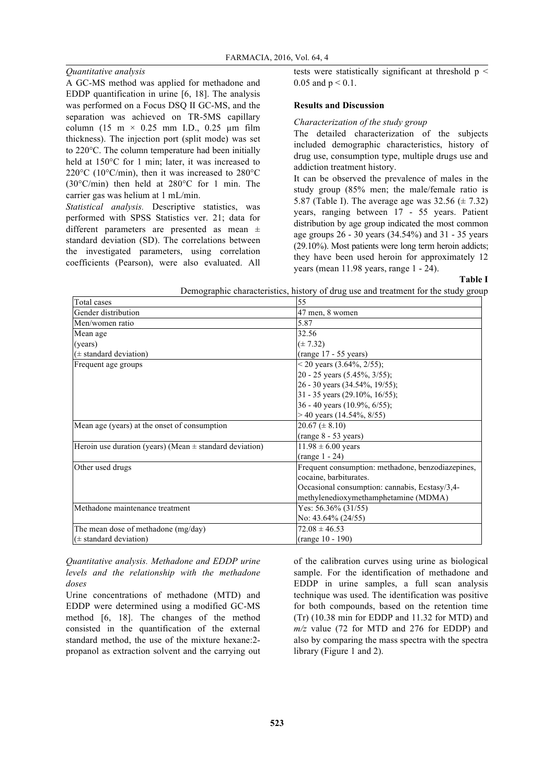# *Quantitative analysis*

A GC-MS method was applied for methadone and EDDP quantification in urine [6, 18]. The analysis was performed on a Focus DSQ II GC-MS, and the separation was achieved on TR-5MS capillary column (15 m  $\times$  0.25 mm I.D., 0.25 µm film thickness). The injection port (split mode) was set to 220°C. The column temperature had been initially held at 150°C for 1 min; later, it was increased to 220°C (10°C/min), then it was increased to 280°C (30°C/min) then held at 280°C for 1 min. The carrier gas was helium at 1 mL/min.

*Statistical analysis.* Descriptive statistics, was performed with SPSS Statistics ver. 21; data for different parameters are presented as mean ± standard deviation (SD). The correlations between the investigated parameters, using correlation coefficients (Pearson), were also evaluated. All tests were statistically significant at threshold  $p <$ 0.05 and  $p < 0.1$ .

#### **Results and Discussion**

#### *Characterization of the study group*

The detailed characterization of the subjects included demographic characteristics, history of drug use, consumption type, multiple drugs use and addiction treatment history.

It can be observed the prevalence of males in the study group (85% men; the male/female ratio is 5.87 (Table I). The average age was  $32.56 \ (\pm 7.32)$ years, ranging between 17 - 55 years. Patient distribution by age group indicated the most common age groups 26 - 30 years (34.54%) and 31 - 35 years (29.10%). Most patients were long term heroin addicts; they have been used heroin for approximately 12 years (mean 11.98 years, range 1 - 24).

**Table I**

|                                                             | Demographic characteristics, history of drug use and treatment for the study grou |
|-------------------------------------------------------------|-----------------------------------------------------------------------------------|
| Total cases                                                 | 55                                                                                |
| Gender distribution                                         | 47 men, 8 women                                                                   |
| Men/women ratio                                             | 5.87                                                                              |
| Mean age                                                    | 32.56                                                                             |
| (years)                                                     | $(\pm 7.32)$                                                                      |
| $(\pm$ standard deviation)                                  | (range 17 - 55 years)                                                             |
| Frequent age groups                                         | $<$ 20 years (3.64%, 2/55);                                                       |
|                                                             | 20 - 25 years (5.45%, 3/55);                                                      |
|                                                             | 26 - 30 years (34.54%, 19/55);                                                    |
|                                                             | 31 - 35 years (29.10%, 16/55);                                                    |
|                                                             | 36 - 40 years (10.9%, $6/55$ );                                                   |
|                                                             | $>$ 40 years (14.54%, 8/55)                                                       |
| Mean age (years) at the onset of consumption                | $20.67 \ (\pm 8.10)$                                                              |
|                                                             | (range 8 - 53 years)                                                              |
| Heroin use duration (years) (Mean $\pm$ standard deviation) | $11.98 \pm 6.00$ years                                                            |
|                                                             | $(range 1 - 24)$                                                                  |
| Other used drugs                                            | Frequent consumption: methadone, benzodiazepines,                                 |
|                                                             | cocaine, barbiturates.                                                            |
|                                                             | Occasional consumption: cannabis, Ecstasy/3,4-                                    |
|                                                             | methylenedioxymethamphetamine (MDMA)                                              |
| Methadone maintenance treatment                             | Yes: $56.36\%$ (31/55)                                                            |
|                                                             | No: $43.64\%$ (24/55)                                                             |
| The mean dose of methadone (mg/day)                         | $72.08 \pm 46.53$                                                                 |
| $(\pm$ standard deviation)                                  | $(range 10 - 190)$                                                                |

Demographic characteristics, history of drug use and treatment for the study group

*Quantitative analysis. Methadone and EDDP urine levels and the relationship with the methadone doses*

Urine concentrations of methadone (MTD) and EDDP were determined using a modified GC-MS method [6, 18]. The changes of the method consisted in the quantification of the external standard method, the use of the mixture hexane:2 propanol as extraction solvent and the carrying out of the calibration curves using urine as biological sample. For the identification of methadone and EDDP in urine samples, a full scan analysis technique was used. The identification was positive for both compounds, based on the retention time (Tr) (10.38 min for EDDP and 11.32 for MTD) and *m/z* value (72 for MTD and 276 for EDDP) and also by comparing the mass spectra with the spectra library (Figure 1 and 2).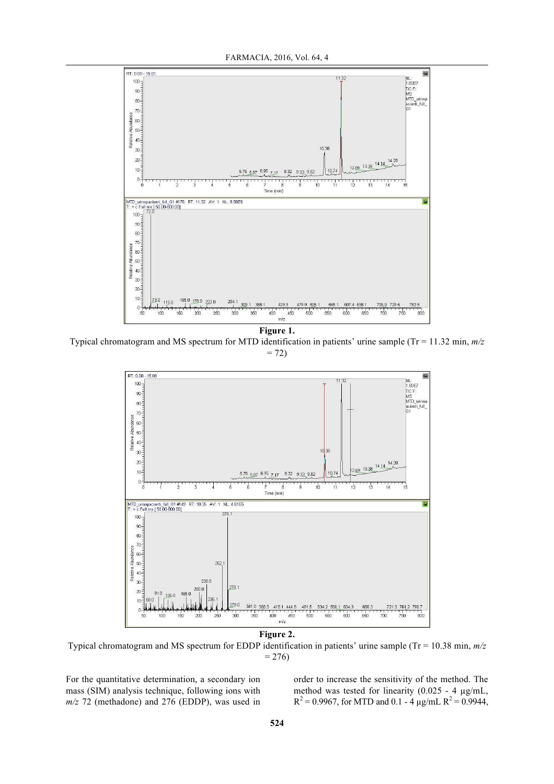

**Figure 1.** Typical chromatogram and MS spectrum for MTD identification in patients' urine sample (Tr = 11.32 min, *m/z*  $= 72$ 



**Figure 2.**

Typical chromatogram and MS spectrum for EDDP identification in patients' urine sample (Tr = 10.38 min, *m/z*  $= 276$ 

For the quantitative determination, a secondary ion mass (SIM) analysis technique, following ions with *m/z* 72 (methadone) and 276 (EDDP), was used in

order to increase the sensitivity of the method. The method was tested for linearity (0.025 - 4  $\mu$ g/mL,  $R^2 = 0.9967$ , for MTD and 0.1 - 4  $\mu$ g/mL  $R^2 = 0.9944$ ,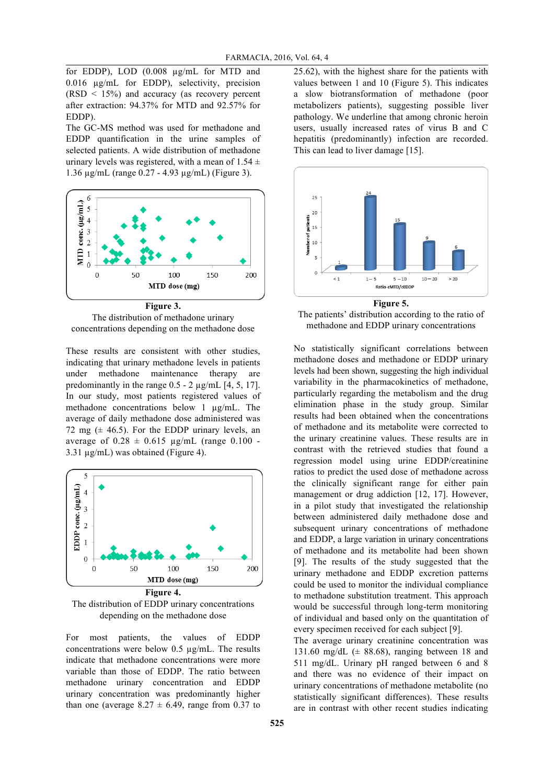for EDDP), LOD (0.008 µg/mL for MTD and 0.016 µg/mL for EDDP), selectivity, precision  $(RSD < 15\%)$  and accuracy (as recovery percent after extraction: 94.37% for MTD and 92.57% for EDDP).

The GC-MS method was used for methadone and EDDP quantification in the urine samples of selected patients. A wide distribution of methadone urinary levels was registered, with a mean of  $1.54 \pm$ 1.36 µg/mL (range 0.27 - 4.93 µg/mL) (Figure 3).



**Figure 3.** The distribution of methadone urinary concentrations depending on the methadone dose

These results are consistent with other studies, indicating that urinary methadone levels in patients under methadone maintenance therapy are predominantly in the range  $0.5 - 2 \mu$ g/mL [4, 5, 17]. In our study, most patients registered values of methadone concentrations below 1 µg/mL. The average of daily methadone dose administered was 72 mg  $(\pm 46.5)$ . For the EDDP urinary levels, an average of  $0.28 \pm 0.615$  µg/mL (range 0.100 -3.31 µg/mL) was obtained (Figure 4).



The distribution of EDDP urinary concentrations depending on the methadone dose

For most patients, the values of EDDP concentrations were below 0.5 µg/mL. The results indicate that methadone concentrations were more variable than those of EDDP. The ratio between methadone urinary concentration and EDDP urinary concentration was predominantly higher than one (average  $8.27 \pm 6.49$ , range from 0.37 to

25.62), with the highest share for the patients with values between 1 and 10 (Figure 5). This indicates a slow biotransformation of methadone (poor metabolizers patients), suggesting possible liver pathology. We underline that among chronic heroin users, usually increased rates of virus B and C hepatitis (predominantly) infection are recorded. This can lead to liver damage [15].



The patients' distribution according to the ratio of

methadone and EDDP urinary concentrations

No statistically significant correlations between methadone doses and methadone or EDDP urinary levels had been shown, suggesting the high individual variability in the pharmacokinetics of methadone, particularly regarding the metabolism and the drug elimination phase in the study group. Similar results had been obtained when the concentrations of methadone and its metabolite were corrected to the urinary creatinine values. These results are in contrast with the retrieved studies that found a regression model using urine EDDP/creatinine ratios to predict the used dose of methadone across the clinically significant range for either pain management or drug addiction [12, 17]. However, in a pilot study that investigated the relationship between administered daily methadone dose and subsequent urinary concentrations of methadone and EDDP, a large variation in urinary concentrations of methadone and its metabolite had been shown [9]. The results of the study suggested that the urinary methadone and EDDP excretion patterns could be used to monitor the individual compliance to methadone substitution treatment. This approach would be successful through long-term monitoring of individual and based only on the quantitation of every specimen received for each subject [9].

The average urinary creatinine concentration was 131.60 mg/dL  $(\pm 88.68)$ , ranging between 18 and 511 mg/dL. Urinary pH ranged between 6 and 8 and there was no evidence of their impact on urinary concentrations of methadone metabolite (no statistically significant differences). These results are in contrast with other recent studies indicating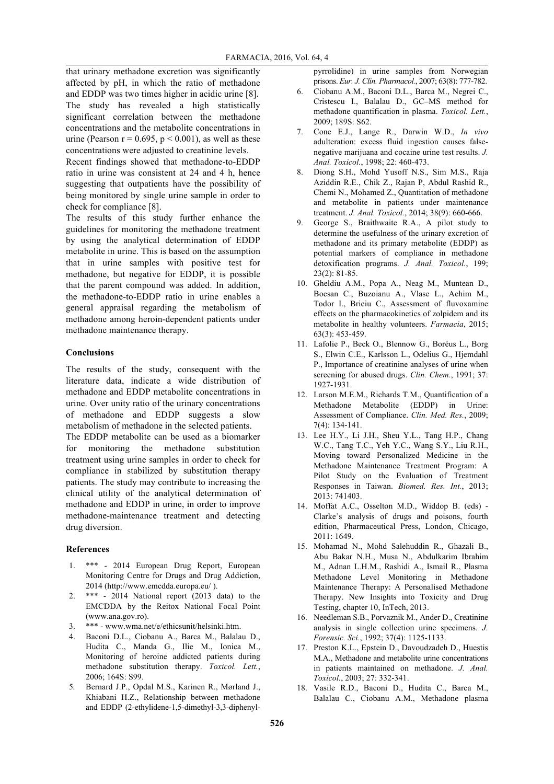that urinary methadone excretion was significantly affected by pH, in which the ratio of methadone and EDDP was two times higher in acidic urine [8]. The study has revealed a high statistically significant correlation between the methadone concentrations and the metabolite concentrations in urine (Pearson  $r = 0.695$ ,  $p < 0.001$ ), as well as these concentrations were adjusted to creatinine levels.

Recent findings showed that methadone-to-EDDP ratio in urine was consistent at 24 and 4 h, hence suggesting that outpatients have the possibility of being monitored by single urine sample in order to check for compliance [8].

The results of this study further enhance the guidelines for monitoring the methadone treatment by using the analytical determination of EDDP metabolite in urine. This is based on the assumption that in urine samples with positive test for methadone, but negative for EDDP, it is possible that the parent compound was added. In addition, the methadone-to-EDDP ratio in urine enables a general appraisal regarding the metabolism of methadone among heroin-dependent patients under methadone maintenance therapy.

#### **Conclusions**

The results of the study, consequent with the literature data, indicate a wide distribution of methadone and EDDP metabolite concentrations in urine. Over unity ratio of the urinary concentrations of methadone and EDDP suggests a slow metabolism of methadone in the selected patients.

The EDDP metabolite can be used as a biomarker for monitoring the methadone substitution treatment using urine samples in order to check for compliance in stabilized by substitution therapy patients. The study may contribute to increasing the clinical utility of the analytical determination of methadone and EDDP in urine, in order to improve methadone-maintenance treatment and detecting drug diversion.

#### **References**

- 1. \*\*\* 2014 European Drug Report, European Monitoring Centre for Drugs and Drug Addiction, 2014 (http://www.emcdda.europa.eu/ ).
- 2.  $***$  2014 National report (2013 data) to the EMCDDA by the Reitox National Focal Point (www.ana.gov.ro).
- 3. \*\*\* www.wma.net/e/ethicsunit/helsinki.htm.
- 4. Baconi D.L., Ciobanu A., Barca M., Balalau D., Hudita C., Manda G., Ilie M., Ionica M., Monitoring of heroine addicted patients during methadone substitution therapy. *Toxicol. Lett.*, 2006; 164S: S99.
- 5. Bernard J.P., Opdal M.S., Karinen R., Mørland J., Khiabani H.Z., Relationship between methadone and EDDP (2-ethylidene-1,5-dimethyl-3,3-diphenyl-

pyrrolidine) in urine samples from Norwegian prisons. *Eur. J. Clin. Pharmacol.*, 2007; 63(8): 777-782.

- 6. Ciobanu A.M., Baconi D.L., Barca M., Negrei C., Cristescu I., Balalau D., GC–MS method for methadone quantification in plasma. *Toxicol. Lett.*, 2009; 189S: S62.
- 7. Cone E.J., Lange R., Darwin W.D., *In vivo* adulteration: excess fluid ingestion causes falsenegative marijuana and cocaine urine test results. *J. Anal. Toxicol.*, 1998; 22: 460-473.
- 8. Diong S.H., Mohd Yusoff N.S., Sim M.S., Raja Aziddin R.E., Chik Z., Rajan P, Abdul Rashid R., Chemi N., Mohamed Z., Quantitation of methadone and metabolite in patients under maintenance treatment. *J. Anal. Toxicol.*, 2014; 38(9): 660-666.
- 9. George S., Braithwaite R.A., A pilot study to determine the usefulness of the urinary excretion of methadone and its primary metabolite (EDDP) as potential markers of compliance in methadone detoxification programs. *J. Anal. Toxicol.*, 199; 23(2): 81-85.
- 10. Gheldiu A.M., Popa A., Neag M., Muntean D., Bocsan C., Buzoianu A., Vlase L., Achim M., Todor I., Briciu C., Assessment of fluvoxamine effects on the pharmacokinetics of zolpidem and its metabolite in healthy volunteers. *Farmacia*, 2015; 63(3): 453-459.
- 11. Lafolie P., Beck O., Blennow G., Boréus L., Borg S., Elwin C.E., Karlsson L., Odelius G., Hjemdahl P., Importance of creatinine analyses of urine when screening for abused drugs. *Clin. Chem.*, 1991; 37: 1927-1931.
- 12. Larson M.E.M., Richards T.M., Quantification of a Methadone Metabolite (EDDP) in Urine: Assessment of Compliance. *Clin. Med. Res.*, 2009; 7(4): 134-141.
- 13. Lee H.Y., Li J.H., Sheu Y.L., Tang H.P., Chang W.C., Tang T.C., Yeh Y.C., Wang S.Y., Liu R.H., Moving toward Personalized Medicine in the Methadone Maintenance Treatment Program: A Pilot Study on the Evaluation of Treatment Responses in Taiwan. *Biomed. Res. Int.*, 2013; 2013: 741403.
- 14. Moffat A.C., Osselton M.D., Widdop B. (eds) Clarke's analysis of drugs and poisons, fourth edition, Pharmaceutical Press, London, Chicago, 2011: 1649.
- 15. Mohamad N., Mohd Salehuddin R., Ghazali B., Abu Bakar N.H., Musa N., Abdulkarim Ibrahim M., Adnan L.H.M., Rashidi A., Ismail R., Plasma Methadone Level Monitoring in Methadone Maintenance Therapy: A Personalised Methadone Therapy. New Insights into Toxicity and Drug Testing, chapter 10, InTech, 2013.
- 16. Needleman S.B., Porvaznik M., Ander D., Creatinine analysis in single collection urine specimens. *J. Forensic. Sci.*, 1992; 37(4): 1125-1133.
- 17. Preston K.L., Epstein D., Davoudzadeh D., Huestis M.A., Methadone and metabolite urine concentrations in patients maintained on methadone. *J. Anal. Toxicol.*, 2003; 27: 332-341.
- 18. Vasile R.D., Baconi D., Hudita C., Barca M., Balalau C., Ciobanu A.M., Methadone plasma